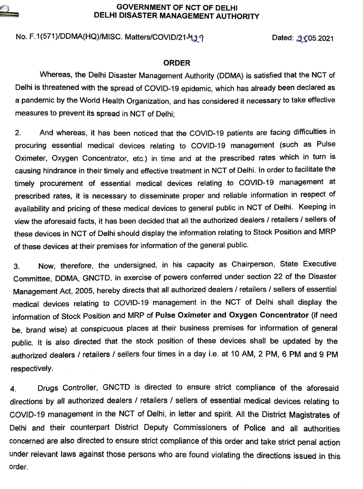

#### **GOVERNMENT OF NCT OF DELHI DELH! DISASTER MANAGEMENT AUTHORITY**

# No. F.1(571)/DDMA(HQ)/MISC. Matters/COVID/21-499

Dated:  $9\sqrt{05.2021}$ 

#### **ORDER**

Whereas, the Delhi Disaster Management Authority (DDMA) is satisfied that the NCT of Delhi is threatened with the spread of COVID-19 epidemic, which has already been declared as a pandemic by the World Health Organization, and has considered *it* necessary to take effective measures to prevent its spread in NCT of Delhi;

2. And whereas, it has been noticed that the COVID-19 patients are facing difficulties in procuring essential medical devices relating to COVID-19 management (such as Pulse Oximeter, Oxygen Concentrator, etc.) in time and at the prescribed rates which in turn is causing hindrance in their timely and effective treatment in NCT of Delhi. In order to facilitate the timely procurement of essential medical devices relating .to COVID-19 management at prescribed rates, it is necessary to disseminate proper and reliable information in respect of availability and pricing of these medical devices to general public in NCT of Delhi. Keeping in view the aforesaid facts, it has been decided that all the authorized dealers / retailers / sellers of these devices in NCT of Delhi should display the information relating to Stock Position and MRP of these devices at their premises for information of the general public.

3. Now, therefore, the undersigned, in his capacity as Chairperson, State Executive Committee, DDMA, GNCTD, in exercise of powers conferred under section 22 of the Disaster Management Act, 2005, hereby directs that all authorized dealers / retailers / sellers of essential medical devices relating to COVID-19 management in the NCT of Delhi shall display the information of Stock Position and MRP of Pulse Oximeter and Oxygen Concentrator (if need be, brand wise) at conspicuous places at their business premises for information of genera<sup>l</sup> public. It is also directed that the stock position of these devices shall be updated by the authorized dealers / retailers / sellers four times in a day i.e. at 10 AM, 2 PM, 6 PM and 9 PM respectively.

4. Drugs Controller, GNCTD is directed to ensure strict compliance of the aforesaid directions by all authorized dealers / retailers / sellers of essential medical devices relating to COVID-19 management in the NCT of Delhi, in letter and spirit. All the District Magistrates of Delhi and their counterpart District Deputy Commissioners of Police and all authorities concerned are also directed to ensure strict compliance of this order and take strict penal action under relevant laws against those persons who are found violating the directions issued in this order.